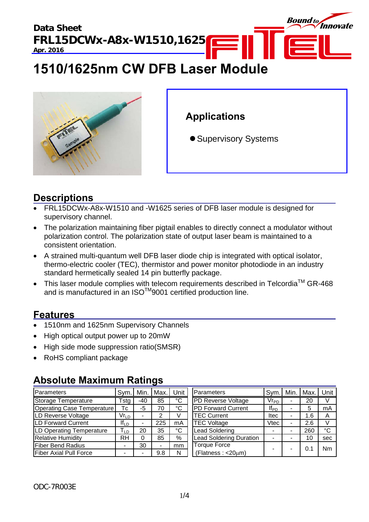

# **1510/1625nm CW DFB Laser Module**



## **Applications**

• Supervisory Systems

### **Descriptions**

- FRL15DCWx-A8x-W1510 and -W1625 series of DFB laser module is designed for supervisory channel.
- The polarization maintaining fiber pigtail enables to directly connect a modulator without polarization control. The polarization state of output laser beam is maintained to a consistent orientation.
- A strained multi-quantum well DFB laser diode chip is integrated with optical isolator, thermo-electric cooler (TEC), thermistor and power monitor photodiode in an industry standard hermetically sealed 14 pin butterfly package.
- This laser module complies with telecom requirements described in Telcordia<sup>TM</sup> GR-468 and is manufactured in an ISO $^{TM}$ 9001 certified production line.

### **Features**

- 1510nm and 1625nm Supervisory Channels
- High optical output power up to 20mW
- High side mode suppression ratio(SMSR)
- RoHS compliant package

### **Absolute Maximum Ratings**

| Parameters                 | Svm.                        | Min.  | Max. | Unit                  | Parameters                     | Sym.      | Min. | Max. | Unit        |
|----------------------------|-----------------------------|-------|------|-----------------------|--------------------------------|-----------|------|------|-------------|
| <b>Storage Temperature</b> | Гsta                        | $-40$ | 85   | $\overline{\text{c}}$ | <b>PD Reverse Voltage</b>      | $Vr_{PD}$ |      | 20   |             |
| Operating Case Temperature | Тc                          | -5    | 70   | °C                    | <b>PD Forward Current</b>      | $If_{PD}$ |      | 5    | mA          |
| LD Reverse Voltage         | $\mathsf{Vr}_{\mathsf{LD}}$ |       |      |                       | <b>TEC Current</b>             | ltec      |      | 1.6  | A           |
| LD Forward Current         | $If_{LD}$                   |       | 225  | mA                    | <b>TEC Voltage</b>             | Vtec      |      | 2.6  | V           |
| LD Operating Temperature   | l LD                        | 20    | 35   | °C                    | <b>Lead Soldering</b>          |           |      | 260  | $^{\circ}C$ |
| <b>Relative Humidity</b>   | RH                          |       | 85   | %                     | <b>Lead Soldering Duration</b> |           |      | 10   | sec         |
| <b>Fiber Bend Radius</b>   |                             | 30    |      | mm                    | <b>Torque Force</b>            |           |      | 0.1  | Nm          |
| Fiber Axial Pull Force     |                             |       | 9.8  | N                     | (Flatness: <20µm)              |           |      |      |             |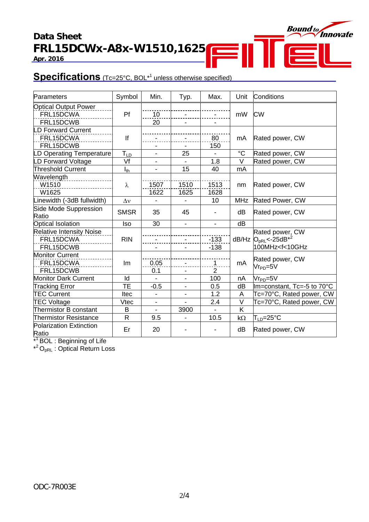### **Data Sheet FRL15DCWx-A8x-W1510,1625 Apr. 2016**



### **Specifications** (Tc=25°C, BOL<sup>\*1</sup> unless otherwise specified)

| Parameters                              | Symbol          | Min.           | Typ.           | Max.           | Unit        | Conditions                         |  |
|-----------------------------------------|-----------------|----------------|----------------|----------------|-------------|------------------------------------|--|
| <b>Optical Output Power</b>             |                 |                |                |                |             |                                    |  |
| FRL15DCWA                               | Pf              | 10             |                |                | mW          | <b>CW</b>                          |  |
| FRL15DCWB                               |                 | 20             |                |                |             |                                    |  |
| <b>LD Forward Current</b>               |                 |                |                |                |             |                                    |  |
| FRL15DCWA                               | lf              |                |                | 80             | mA          | Rated power, CW                    |  |
| FRL15DCWB                               |                 |                |                | 150            |             |                                    |  |
| LD Operating Temperature                | $T_{LD}$        | $\blacksquare$ | 25             |                | $^{\circ}C$ | Rated power, CW                    |  |
| LD Forward Voltage                      | Vf              |                |                | 1.8            | $\vee$      | Rated power, CW                    |  |
| <b>Threshold Current</b>                | $I_{\text{th}}$ | $\blacksquare$ | 15             | 40             | mA          |                                    |  |
| Wavelength                              |                 |                |                |                |             |                                    |  |
| W1510                                   | λ               | 1507           | 1510           | 1513           | nm          | Rated power, CW                    |  |
| W1625                                   |                 | 1622           | 1625           | 1628           |             |                                    |  |
| Linewidth (-3dB fullwidth)              | $\Delta v$      |                |                | 10             | <b>MHz</b>  | Rated Power, CW                    |  |
| Side Mode Suppression                   | <b>SMSR</b>     | 35             | 45             |                | dB          | Rated power, CW                    |  |
| Ratio                                   |                 |                |                |                |             |                                    |  |
| Optical Isolation                       | Iso             | 30             | $\blacksquare$ | $\blacksquare$ | dB          |                                    |  |
| <b>Relative Intensity Noise</b>         |                 |                |                |                |             | Rated power, CW                    |  |
| FRL15DCWA                               | <b>RIN</b>      |                | $\blacksquare$ | $-133$         | dB/Hz       | $O_{pRL}$ < -25dB <sup>*2</sup>    |  |
| FRL15DCWB                               |                 |                |                | $-138$         |             | 100MHz <f<10ghz< td=""></f<10ghz<> |  |
| <b>Monitor Current</b>                  |                 |                |                |                |             | Rated power, CW                    |  |
| FRL15DCWA                               | Im              | 0.05           | $\blacksquare$ | $\mathbf 1$    | mA          | $V$ r $_{PD}$ =5 $V$               |  |
| FRL15DCWB                               |                 | 0.1            |                | $\overline{2}$ |             |                                    |  |
| <b>Monitor Dark Current</b>             | Id              |                |                | 100            | nA          | $Vr_{PD} = 5V$                     |  |
| <b>Tracking Error</b>                   | <b>TE</b>       | $-0.5$         | $\blacksquare$ | 0.5            | dB          | Im=constant, Tc=-5 to 70°C         |  |
| <b>TEC Current</b>                      | Itec            |                |                | 1.2            | A           | Tc=70°C, Rated power, CW           |  |
| <b>TEC Voltage</b>                      | Vtec            | $\blacksquare$ |                | 2.4            | $\vee$      | Tc=70°C, Rated power, CW           |  |
| Thermistor B constant                   | B               | $\blacksquare$ | 3900           |                | K           |                                    |  |
| <b>Thermistor Resistance</b>            | $\mathsf{R}$    | 9.5            |                | 10.5           | $k\Omega$   | $T_{LD}$ =25°C                     |  |
| <b>Polarization Extinction</b><br>Ratio | Er              | 20             |                |                | dB          | Rated power, CW                    |  |

\*<sup>1</sup> BOL : Beginning of Life

 $*^2O_{pRL}$ : Optical Return Loss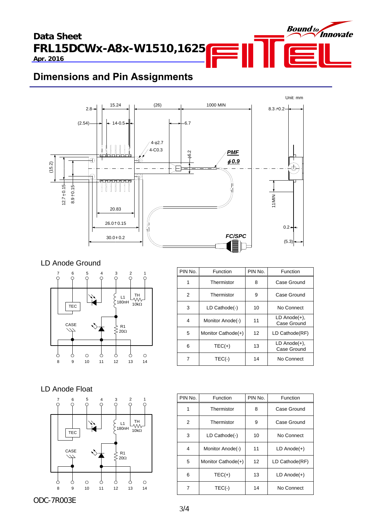**Data Sheet FRL15DCWx-A8x-W1510,1625** 

**Apr. 2016**

# **Dimensions and Pin Assignments**



### LD Anode Ground



| PIN No. | Function           | PIN No. | Function                          |
|---------|--------------------|---------|-----------------------------------|
| 1       | Thermistor         | 8       | Case Ground                       |
| 2       | Thermistor         | 9       | Case Ground                       |
| 3       | LD Cathode(-)      | 10      | No Connect                        |
| 4       | Monitor Anode(-)   | 11      | $LD$ Anode $(+)$ ,<br>Case Ground |
| 5       | Monitor Cathode(+) | 12      | LD Cathode(RF)                    |
| 6       | $TEC(+)$           | 13      | $LD$ Anode $(+)$ ,<br>Case Ground |
| 7       | $TEC(-)$           | 14      | No Connect                        |

Bound to Innovate

### LD Anode Float



| PIN No. | Function           | PIN No. | Function         |
|---------|--------------------|---------|------------------|
| 1       | Thermistor         | 8       | Case Ground      |
| 2       | Thermistor         | 9       | Case Ground      |
| 3       | LD Cathode(-)      | 10      | No Connect       |
| 4       | Monitor Anode(-)   | 11      | $LD$ Anode $(+)$ |
| 5       | Monitor Cathode(+) | 12      | LD Cathode(RF)   |
| 6       | $TEC(+)$           | 13      | $LD$ Anode $(+)$ |
|         | $TEC(-)$           | 14      | No Connect       |